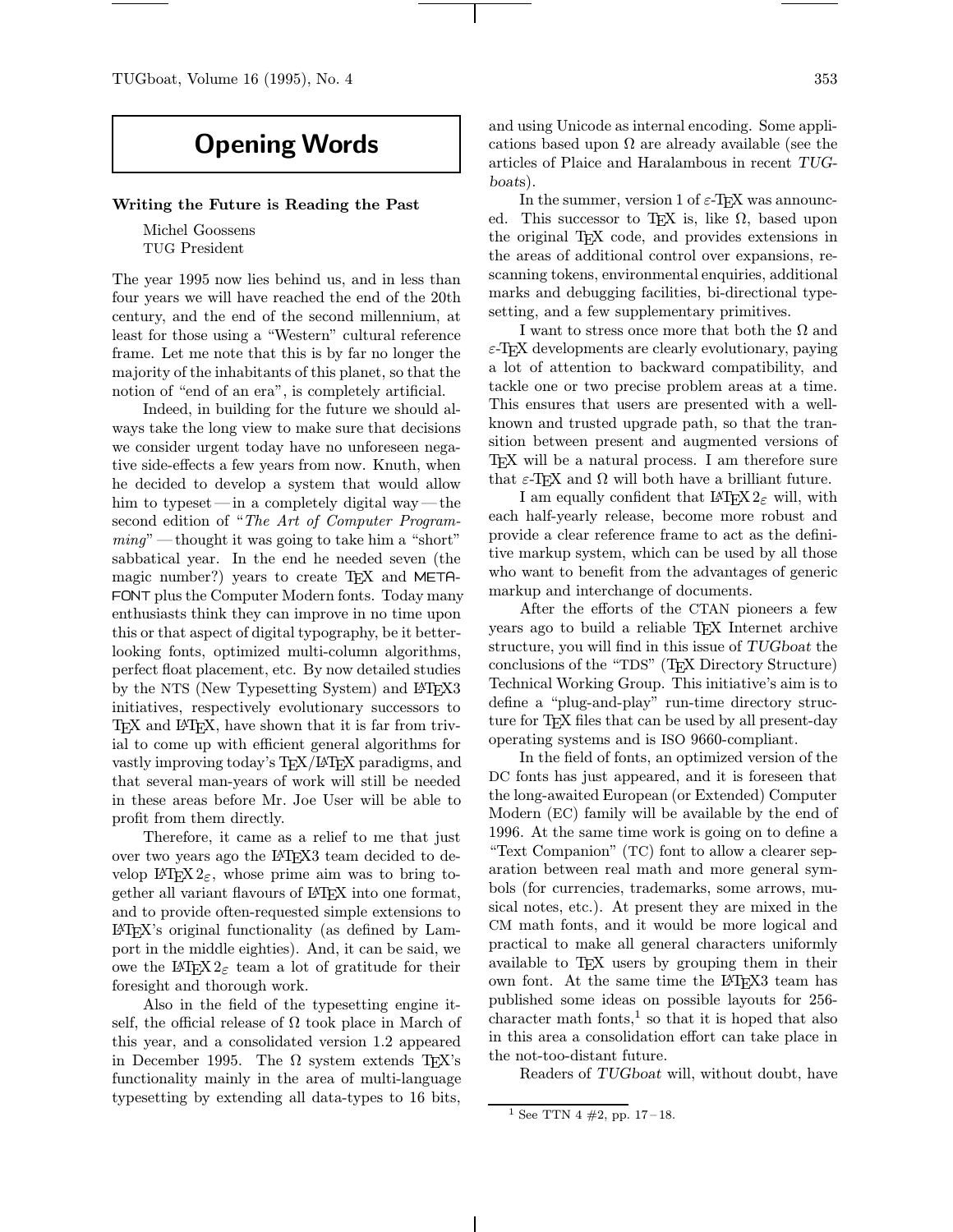## Opening Words

## Writing the Future is Reading the Past

Michel Goossens TUG President

The year 1995 now lies behind us, and in less than four years we will have reached the end of the 20th century, and the end of the second millennium, at least for those using a "Western" cultural reference frame. Let me note that this is by far no longer the majority of the inhabitants of this planet, so that the notion of "end of an era", is completely artificial.

Indeed, in building for the future we should always take the long view to make sure that decisions we consider urgent today have no unforeseen negative side-effects a few years from now. Knuth, when he decided to develop a system that would allow him to typeset—in a completely digital way—the second edition of "The Art of Computer Programming" —thought it was going to take him a "short" sabbatical year. In the end he needed seven (the magic number?) years to create T<sub>F</sub>X and META-FONT plus the Computer Modern fonts. Today many enthusiasts think they can improve in no time upon this or that aspect of digital typography, be it betterlooking fonts, optimized multi-column algorithms, perfect float placement, etc. By now detailed studies by the NTS (New Typesetting System) and LAT<sub>F</sub>X3 initiatives, respectively evolutionary successors to TEX and LATEX, have shown that it is far from trivial to come up with efficient general algorithms for vastly improving today's TEX/LATEX paradigms, and that several man-years of work will still be needed in these areas before Mr. Joe User will be able to profit from them directly.

Therefore, it came as a relief to me that just over two years ago the LAT<sub>EX3</sub> team decided to develop LATEX  $2\varepsilon$ , whose prime aim was to bring together all variant flavours of LATEX into one format, and to provide often-requested simple extensions to LATEX's original functionality (as defined by Lamport in the middle eighties). And, it can be said, we owe the  $\angle E[X2_{\epsilon}]$  team a lot of gratitude for their foresight and thorough work.

Also in the field of the typesetting engine itself, the official release of  $\Omega$  took place in March of this year, and a consolidated version 1.2 appeared in December 1995. The  $\Omega$  system extends TEX's functionality mainly in the area of multi-language typesetting by extending all data-types to 16 bits,

and using Unicode as internal encoding. Some applications based upon  $\Omega$  are already available (see the articles of Plaice and Haralambous in recent TUGboats).

In the summer, version 1 of  $\varepsilon$ -T<sub>EX</sub> was announced. This successor to TEX is, like  $\Omega$ , based upon the original TEX code, and provides extensions in the areas of additional control over expansions, rescanning tokens, environmental enquiries, additional marks and debugging facilities, bi-directional typesetting, and a few supplementary primitives.

I want to stress once more that both the  $\Omega$  and  $\varepsilon$ -T<sub>EX</sub> developments are clearly evolutionary, paying a lot of attention to backward compatibility, and tackle one or two precise problem areas at a time. This ensures that users are presented with a wellknown and trusted upgrade path, so that the transition between present and augmented versions of T<sub>EX</sub> will be a natural process. I am therefore sure that  $\varepsilon$ -T<sub>E</sub>X and  $\Omega$  will both have a brilliant future.

I am equally confident that  $L^2E^X2_{\varepsilon}$  will, with each half-yearly release, become more robust and provide a clear reference frame to act as the definitive markup system, which can be used by all those who want to benefit from the advantages of generic markup and interchange of documents.

After the efforts of the CTAN pioneers a few years ago to build a reliable TEX Internet archive structure, you will find in this issue of TUGboat the conclusions of the "TDS" (TEX Directory Structure) Technical Working Group. This initiative's aim is to define a "plug-and-play" run-time directory structure for T<sub>E</sub>X files that can be used by all present-day operating systems and is ISO 9660-compliant.

In the field of fonts, an optimized version of the DC fonts has just appeared, and it is foreseen that the long-awaited European (or Extended) Computer Modern (EC) family will be available by the end of 1996. At the same time work is going on to define a "Text Companion" (TC) font to allow a clearer separation between real math and more general symbols (for currencies, trademarks, some arrows, musical notes, etc.). At present they are mixed in the CM math fonts, and it would be more logical and practical to make all general characters uniformly available to T<sub>E</sub>X users by grouping them in their own font. At the same time the LAT<sub>EX</sub>3 team has published some ideas on possible layouts for 256 character math fonts, $<sup>1</sup>$  so that it is hoped that also</sup> in this area a consolidation effort can take place in the not-too-distant future.

Readers of TUGboat will, without doubt, have

<sup>&</sup>lt;sup>1</sup> See TTN 4  $\#2$ , pp. 17-18.